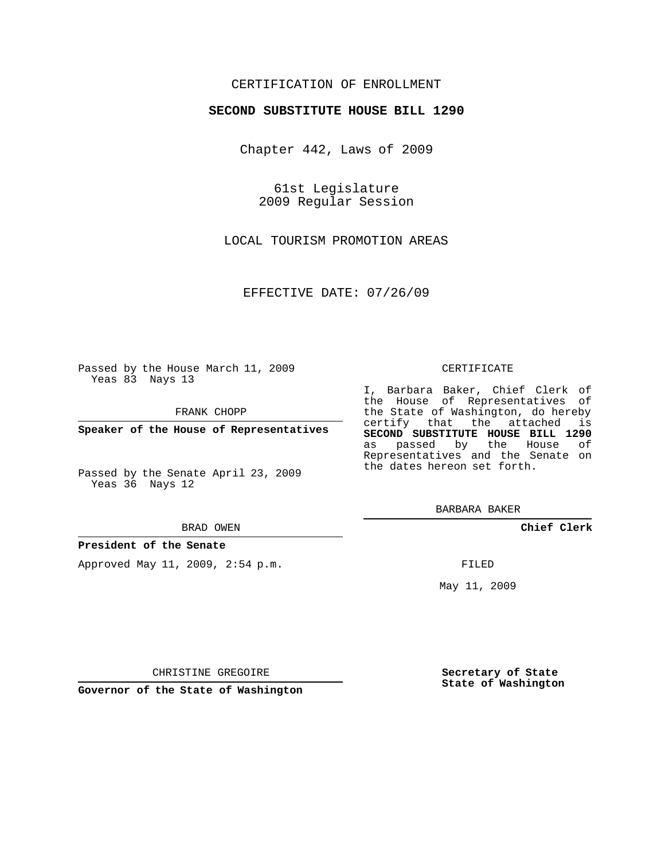## CERTIFICATION OF ENROLLMENT

### **SECOND SUBSTITUTE HOUSE BILL 1290**

Chapter 442, Laws of 2009

61st Legislature 2009 Regular Session

LOCAL TOURISM PROMOTION AREAS

EFFECTIVE DATE: 07/26/09

Passed by the House March 11, 2009 Yeas 83 Nays 13

FRANK CHOPP

**Speaker of the House of Representatives**

Passed by the Senate April 23, 2009 Yeas 36 Nays 12

#### BRAD OWEN

#### **President of the Senate**

Approved May 11, 2009, 2:54 p.m.

#### CERTIFICATE

I, Barbara Baker, Chief Clerk of the House of Representatives of the State of Washington, do hereby certify that the attached is **SECOND SUBSTITUTE HOUSE BILL 1290** as passed by the House of Representatives and the Senate on the dates hereon set forth.

BARBARA BAKER

**Chief Clerk**

FILED

May 11, 2009

**Secretary of State State of Washington**

CHRISTINE GREGOIRE

**Governor of the State of Washington**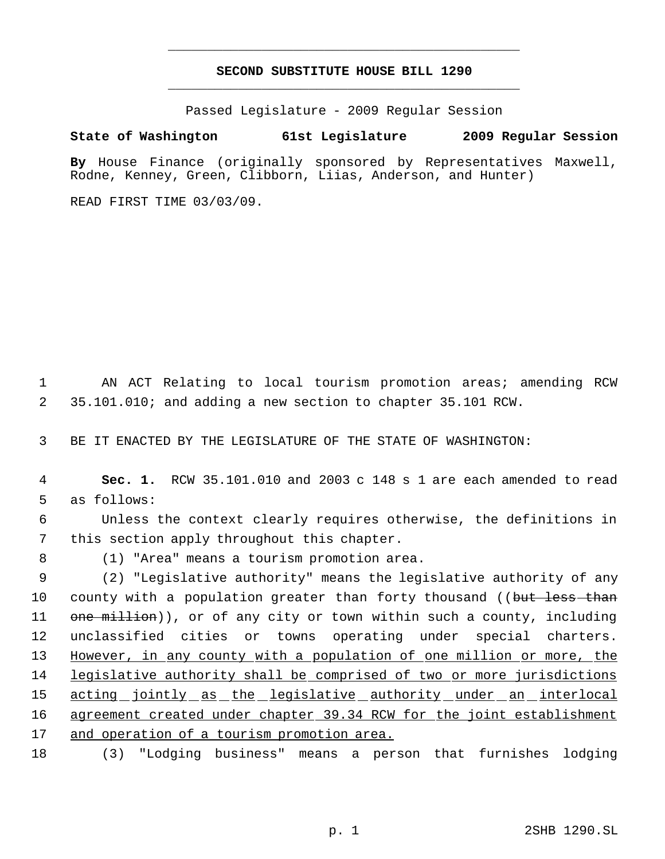# **SECOND SUBSTITUTE HOUSE BILL 1290** \_\_\_\_\_\_\_\_\_\_\_\_\_\_\_\_\_\_\_\_\_\_\_\_\_\_\_\_\_\_\_\_\_\_\_\_\_\_\_\_\_\_\_\_\_

\_\_\_\_\_\_\_\_\_\_\_\_\_\_\_\_\_\_\_\_\_\_\_\_\_\_\_\_\_\_\_\_\_\_\_\_\_\_\_\_\_\_\_\_\_

Passed Legislature - 2009 Regular Session

## **State of Washington 61st Legislature 2009 Regular Session**

**By** House Finance (originally sponsored by Representatives Maxwell, Rodne, Kenney, Green, Clibborn, Liias, Anderson, and Hunter)

READ FIRST TIME 03/03/09.

 1 AN ACT Relating to local tourism promotion areas; amending RCW 2 35.101.010; and adding a new section to chapter 35.101 RCW.

3 BE IT ENACTED BY THE LEGISLATURE OF THE STATE OF WASHINGTON:

 4 **Sec. 1.** RCW 35.101.010 and 2003 c 148 s 1 are each amended to read 5 as follows:

 6 Unless the context clearly requires otherwise, the definitions in 7 this section apply throughout this chapter.

8 (1) "Area" means a tourism promotion area.

 9 (2) "Legislative authority" means the legislative authority of any 10 county with a population greater than forty thousand ((but less than 11 one million)), or of any city or town within such a county, including 12 unclassified cities or towns operating under special charters. 13 However, in any county with a population of one million or more, the 14 legislative authority shall be comprised of two or more jurisdictions 15 acting jointly as the legislative authority under an interlocal 16 agreement created under chapter 39.34 RCW for the joint establishment 17 and operation of a tourism promotion area.

18 (3) "Lodging business" means a person that furnishes lodging